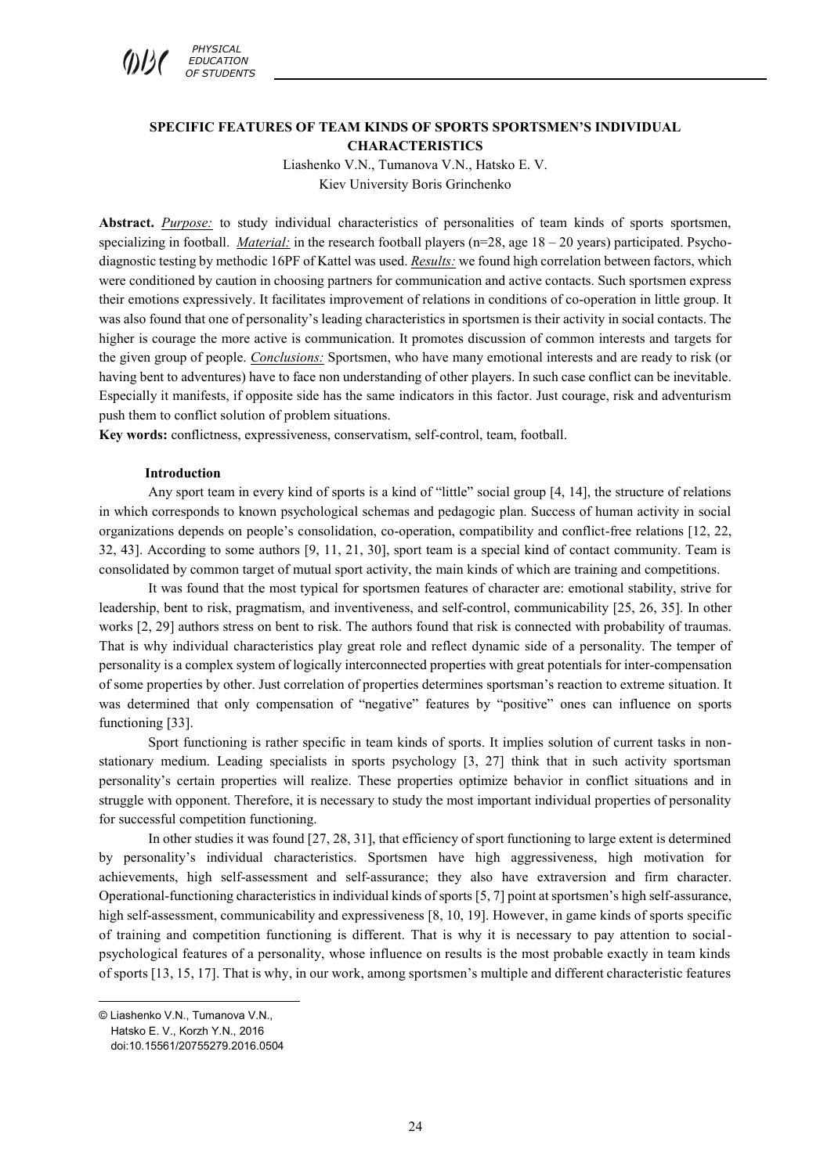

# **SPECIFIC FEATURES OF TEAM KINDS OF SPORTS SPORTSMEN'S INDIVIDUAL CHARACTERISTICS**

Liashenko V.N., Tumanova V.N., Hatsko E. V. Kiev University Boris Grinchenko

**Abstract.** *Purpose:* to study individual characteristics of personalities of team kinds of sports sportsmen, specializing in football. *Material:* in the research football players ( $n=28$ , age  $18-20$  years) participated. Psychodiagnostic testing by methodic 16PF of Kattel was used. *Results:* we found high correlation between factors, which were conditioned by caution in choosing partners for communication and active contacts. Such sportsmen express their emotions expressively. It facilitates improvement of relations in conditions of co-operation in little group. It was also found that one of personality's leading characteristics in sportsmen is their activity in social contacts. The higher is courage the more active is communication. It promotes discussion of common interests and targets for the given group of people. *Conclusions:* Sportsmen, who have many emotional interests and are ready to risk (or having bent to adventures) have to face non understanding of other players. In such case conflict can be inevitable. Especially it manifests, if opposite side has the same indicators in this factor. Just courage, risk and adventurism push them to conflict solution of problem situations.

**Key words:** conflictness, expressiveness, conservatism, self-control, team, football.

## **Introduction**

Any sport team in every kind of sports is a kind of "little" social group [4, 14], the structure of relations in which corresponds to known psychological schemas and pedagogic plan. Success of human activity in social organizations depends on people's consolidation, co-operation, compatibility and conflict-free relations [12, 22, 32, 43]. According to some authors [9, 11, 21, 30], sport team is a special kind of contact community. Team is consolidated by common target of mutual sport activity, the main kinds of which are training and competitions.

It was found that the most typical for sportsmen features of character are: emotional stability, strive for leadership, bent to risk, pragmatism, and inventiveness, and self-control, communicability [25, 26, 35]. In other works [2, 29] authors stress on bent to risk. The authors found that risk is connected with probability of traumas. That is why individual characteristics play great role and reflect dynamic side of a personality. The temper of personality is a complex system of logically interconnected properties with great potentials for inter-compensation of some properties by other. Just correlation of properties determines sportsman's reaction to extreme situation. It was determined that only compensation of "negative" features by "positive" ones can influence on sports functioning [33].

Sport functioning is rather specific in team kinds of sports. It implies solution of current tasks in nonstationary medium. Leading specialists in sports psychology [3, 27] think that in such activity sportsman personality's certain properties will realize. These properties optimize behavior in conflict situations and in struggle with opponent. Therefore, it is necessary to study the most important individual properties of personality for successful competition functioning.

In other studies it was found [27, 28, 31], that efficiency of sport functioning to large extent is determined by personality's individual characteristics. Sportsmen have high aggressiveness, high motivation for achievements, high self-assessment and self-assurance; they also have extraversion and firm character. Operational-functioning characteristics in individual kinds of sports [5, 7] point at sportsmen's high self-assurance, high self-assessment, communicability and expressiveness [8, 10, 19]. However, in game kinds of sports specific of training and competition functioning is different. That is why it is necessary to pay attention to socialpsychological features of a personality, whose influence on results is the most probable exactly in team kinds of sports [13, 15, 17]. That is why, in our work, among sportsmen's multiple and different characteristic features

 $\overline{a}$ © Liashenko V.N., Tumanova V.N.,

Hatsko E. V., Korzh Y.N., 2016

doi:10.15561/20755279.2016.0504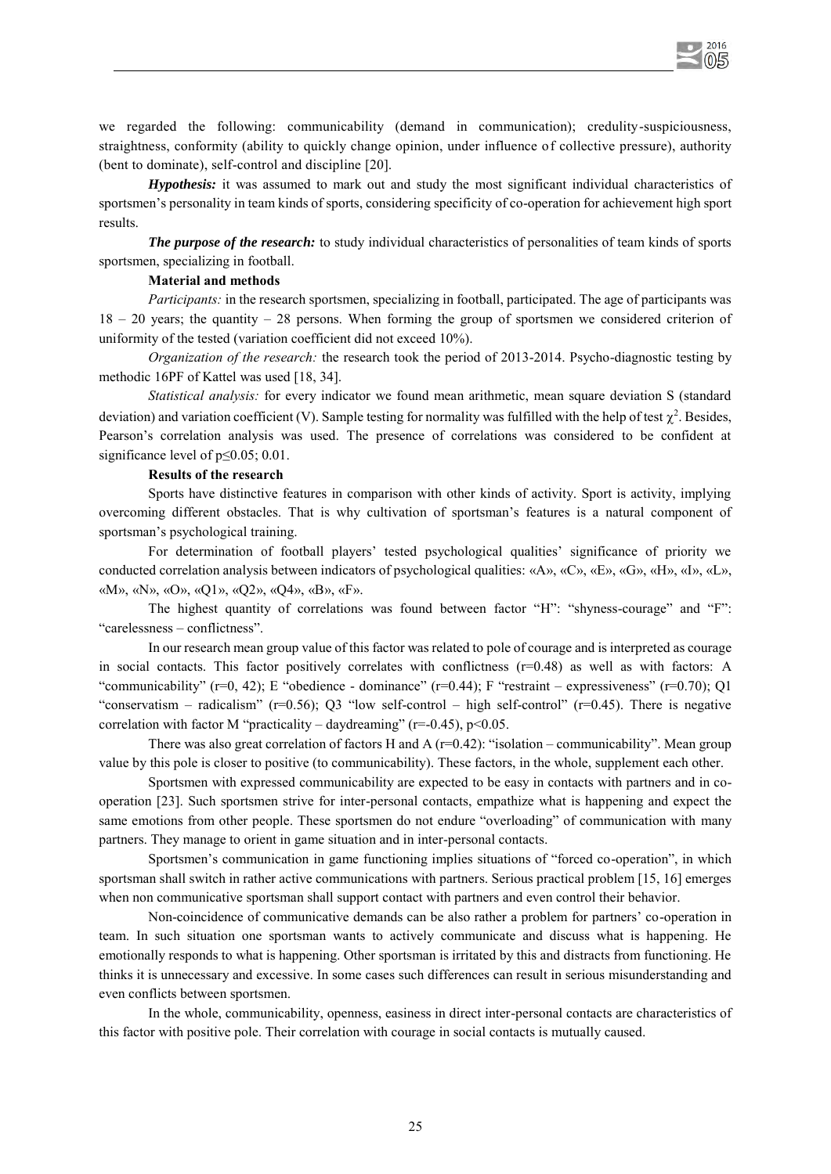we regarded the following: communicability (demand in communication); credulity-suspiciousness, straightness, conformity (ability to quickly change opinion, under influence of collective pressure), authority (bent to dominate), self-control and discipline [20].

2016 05

*Hypothesis:* it was assumed to mark out and study the most significant individual characteristics of sportsmen's personality in team kinds of sports, considering specificity of co-operation for achievement high sport results.

*The purpose of the research:* to study individual characteristics of personalities of team kinds of sports sportsmen, specializing in football.

## **Material and methods**

*Participants:* in the research sportsmen, specializing in football, participated. The age of participants was 18 – 20 years; the quantity – 28 persons. When forming the group of sportsmen we considered criterion of uniformity of the tested (variation coefficient did not exceed 10%).

*Organization of the research:* the research took the period of 2013-2014. Psycho-diagnostic testing by methodic 16PF of Kattel was used [18, 34].

*Statistical analysis:* for every indicator we found mean arithmetic, mean square deviation S (standard deviation) and variation coefficient (V). Sample testing for normality was fulfilled with the help of test  $\chi^2$ . Besides, Pearson's correlation analysis was used. The presence of correlations was considered to be confident at significance level of p≤0.05; 0.01.

#### **Results of the research**

Sports have distinctive features in comparison with other kinds of activity. Sport is activity, implying overcoming different obstacles. That is why cultivation of sportsman's features is a natural component of sportsman's psychological training.

For determination of football players' tested psychological qualities' significance of priority we conducted correlation analysis between indicators of psychological qualities: «А», «С», «Е», «G», «H», «I», «L», «M», «N», «O», «Q1», «Q2», «Q4», «B», «F».

The highest quantity of correlations was found between factor "H": "shyness-courage" and "F": "carelessness – conflictness".

In our research mean group value of this factor was related to pole of courage and is interpreted as courage in social contacts. This factor positively correlates with conflictness  $(r=0.48)$  as well as with factors: A "communicability" ( $r=0$ , 42); E "obedience - dominance" ( $r=0.44$ ); F "restraint – expressiveness" ( $r=0.70$ ); Q1 "conservatism – radicalism" ( $r=0.56$ ); Q3 "low self-control – high self-control" ( $r=0.45$ ). There is negative correlation with factor M "practicality – daydreaming" ( $r=0.45$ ),  $p<0.05$ .

There was also great correlation of factors H and A  $(r=0.42)$ : "isolation – communicability". Mean group value by this pole is closer to positive (to communicability). These factors, in the whole, supplement each other.

Sportsmen with expressed communicability are expected to be easy in contacts with partners and in cooperation [23]. Such sportsmen strive for inter-personal contacts, empathize what is happening and expect the same emotions from other people. These sportsmen do not endure "overloading" of communication with many partners. They manage to orient in game situation and in inter-personal contacts.

Sportsmen's communication in game functioning implies situations of "forced co-operation", in which sportsman shall switch in rather active communications with partners. Serious practical problem [15, 16] emerges when non communicative sportsman shall support contact with partners and even control their behavior.

Non-coincidence of communicative demands can be also rather a problem for partners' co-operation in team. In such situation one sportsman wants to actively communicate and discuss what is happening. He emotionally responds to what is happening. Other sportsman is irritated by this and distracts from functioning. He thinks it is unnecessary and excessive. In some cases such differences can result in serious misunderstanding and even conflicts between sportsmen.

In the whole, communicability, openness, easiness in direct inter-personal contacts are characteristics of this factor with positive pole. Their correlation with courage in social contacts is mutually caused.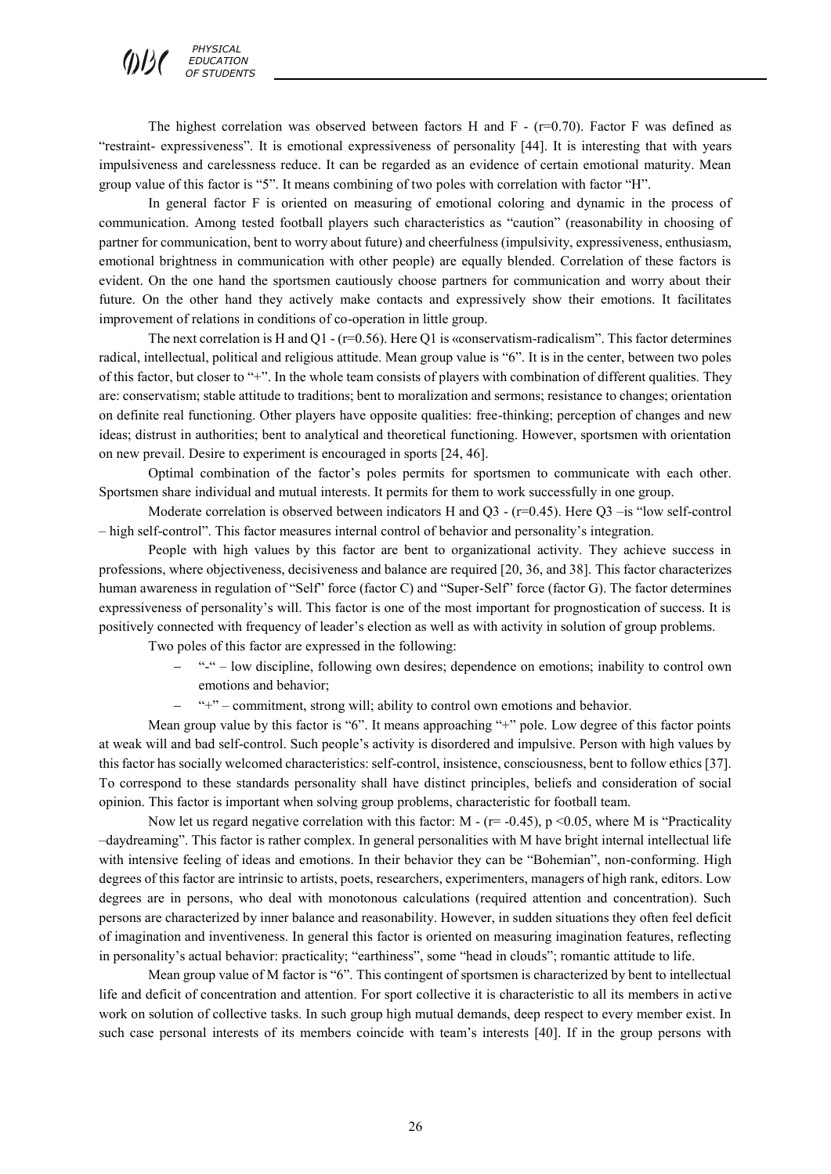The highest correlation was observed between factors H and F -  $(r=0.70)$ . Factor F was defined as "restraint- expressiveness". It is emotional expressiveness of personality [44]. It is interesting that with years impulsiveness and carelessness reduce. It can be regarded as an evidence of certain emotional maturity. Mean group value of this factor is "5". It means combining of two poles with correlation with factor "H".

In general factor F is oriented on measuring of emotional coloring and dynamic in the process of communication. Among tested football players such characteristics as "caution" (reasonability in choosing of partner for communication, bent to worry about future) and cheerfulness (impulsivity, expressiveness, enthusiasm, emotional brightness in communication with other people) are equally blended. Correlation of these factors is evident. On the one hand the sportsmen cautiously choose partners for communication and worry about their future. On the other hand they actively make contacts and expressively show their emotions. It facilitates improvement of relations in conditions of co-operation in little group.

The next correlation is H and Q1 - ( $r=0.56$ ). Here Q1 is «conservatism-radicalism". This factor determines radical, intellectual, political and religious attitude. Mean group value is "6". It is in the center, between two poles of this factor, but closer to "+". In the whole team consists of players with combination of different qualities. They are: conservatism; stable attitude to traditions; bent to moralization and sermons; resistance to changes; orientation on definite real functioning. Other players have opposite qualities: free-thinking; perception of changes and new ideas; distrust in authorities; bent to analytical and theoretical functioning. However, sportsmen with orientation on new prevail. Desire to experiment is encouraged in sports [24, 46].

Optimal combination of the factor's poles permits for sportsmen to communicate with each other. Sportsmen share individual and mutual interests. It permits for them to work successfully in one group.

Moderate correlation is observed between indicators H and Q3 -  $(r=0.45)$ . Here Q3 -is "low self-control – high self-control". This factor measures internal control of behavior and personality's integration.

People with high values by this factor are bent to organizational activity. They achieve success in professions, where objectiveness, decisiveness and balance are required [20, 36, and 38]. This factor characterizes human awareness in regulation of "Self" force (factor C) and "Super-Self" force (factor G). The factor determines expressiveness of personality's will. This factor is one of the most important for prognostication of success. It is positively connected with frequency of leader's election as well as with activity in solution of group problems.

Two poles of this factor are expressed in the following:

- "-" low discipline, following own desires; dependence on emotions; inability to control own emotions and behavior;
- "+" commitment, strong will; ability to control own emotions and behavior.

Mean group value by this factor is "6". It means approaching "+" pole. Low degree of this factor points at weak will and bad self-control. Such people's activity is disordered and impulsive. Person with high values by this factor has socially welcomed characteristics: self-control, insistence, consciousness, bent to follow ethics [37]. To correspond to these standards personality shall have distinct principles, beliefs and consideration of social opinion. This factor is important when solving group problems, characteristic for football team.

Now let us regard negative correlation with this factor:  $M - (r = -0.45)$ ,  $p \le 0.05$ , where M is "Practicality –daydreaming". This factor is rather complex. In general personalities with M have bright internal intellectual life with intensive feeling of ideas and emotions. In their behavior they can be "Bohemian", non-conforming. High degrees of this factor are intrinsic to artists, poets, researchers, experimenters, managers of high rank, editors. Low degrees are in persons, who deal with monotonous calculations (required attention and concentration). Such persons are characterized by inner balance and reasonability. However, in sudden situations they often feel deficit of imagination and inventiveness. In general this factor is oriented on measuring imagination features, reflecting in personality's actual behavior: practicality; "earthiness", some "head in clouds"; romantic attitude to life.

Mean group value of M factor is "6". This contingent of sportsmen is characterized by bent to intellectual life and deficit of concentration and attention. For sport collective it is characteristic to all its members in active work on solution of collective tasks. In such group high mutual demands, deep respect to every member exist. In such case personal interests of its members coincide with team's interests [40]. If in the group persons with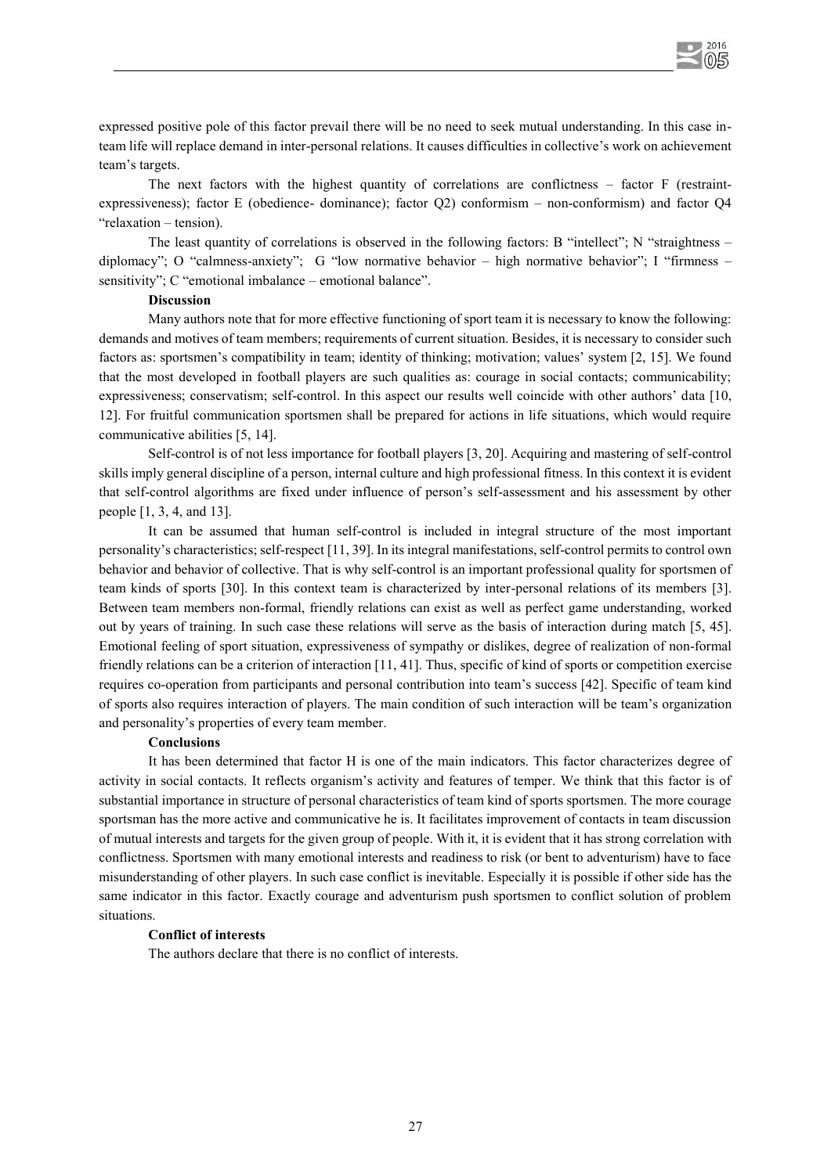

expressed positive pole of this factor prevail there will be no need to seek mutual understanding. In this case inteam life will replace demand in inter-personal relations. It causes difficulties in collective's work on achievement team's targets.

The next factors with the highest quantity of correlations are conflictness – factor F (restraintexpressiveness); factor E (obedience- dominance); factor Q2) conformism – non-conformism) and factor Q4 "relaxation – tension).

The least quantity of correlations is observed in the following factors: B "intellect"; N "straightness – diplomacy"; О "calmness-anxiety"; G "low normative behavior – high normative behavior"; I "firmness – sensitivity"; C "emotional imbalance – emotional balance".

## **Discussion**

Many authors note that for more effective functioning of sport team it is necessary to know the following: demands and motives of team members; requirements of current situation. Besides, it is necessary to consider such factors as: sportsmen's compatibility in team; identity of thinking; motivation; values' system [2, 15]. We found that the most developed in football players are such qualities as: courage in social contacts; communicability; expressiveness; conservatism; self-control. In this aspect our results well coincide with other authors' data [10, 12]. For fruitful communication sportsmen shall be prepared for actions in life situations, which would require communicative abilities [5, 14].

Self-control is of not less importance for football players [3, 20]. Acquiring and mastering of self-control skills imply general discipline of a person, internal culture and high professional fitness. In this context it is evident that self-control algorithms are fixed under influence of person's self-assessment and his assessment by other people [1, 3, 4, and 13].

It can be assumed that human self-control is included in integral structure of the most important personality's characteristics; self-respect [11, 39]. In its integral manifestations, self-control permits to control own behavior and behavior of collective. That is why self-control is an important professional quality for sportsmen of team kinds of sports [30]. In this context team is characterized by inter-personal relations of its members [3]. Between team members non-formal, friendly relations can exist as well as perfect game understanding, worked out by years of training. In such case these relations will serve as the basis of interaction during match [5, 45]. Emotional feeling of sport situation, expressiveness of sympathy or dislikes, degree of realization of non-formal friendly relations can be a criterion of interaction [11, 41]. Thus, specific of kind of sports or competition exercise requires co-operation from participants and personal contribution into team's success [42]. Specific of team kind of sports also requires interaction of players. The main condition of such interaction will be team's organization and personality's properties of every team member.

#### **Conclusions**

It has been determined that factor H is one of the main indicators. This factor characterizes degree of activity in social contacts. It reflects organism's activity and features of temper. We think that this factor is of substantial importance in structure of personal characteristics of team kind of sports sportsmen. The more courage sportsman has the more active and communicative he is. It facilitates improvement of contacts in team discussion of mutual interests and targets for the given group of people. With it, it is evident that it has strong correlation with conflictness. Sportsmen with many emotional interests and readiness to risk (or bent to adventurism) have to face misunderstanding of other players. In such case conflict is inevitable. Especially it is possible if other side has the same indicator in this factor. Exactly courage and adventurism push sportsmen to conflict solution of problem situations.

## **Conflict of interests**

The authors declare that there is no conflict of interests.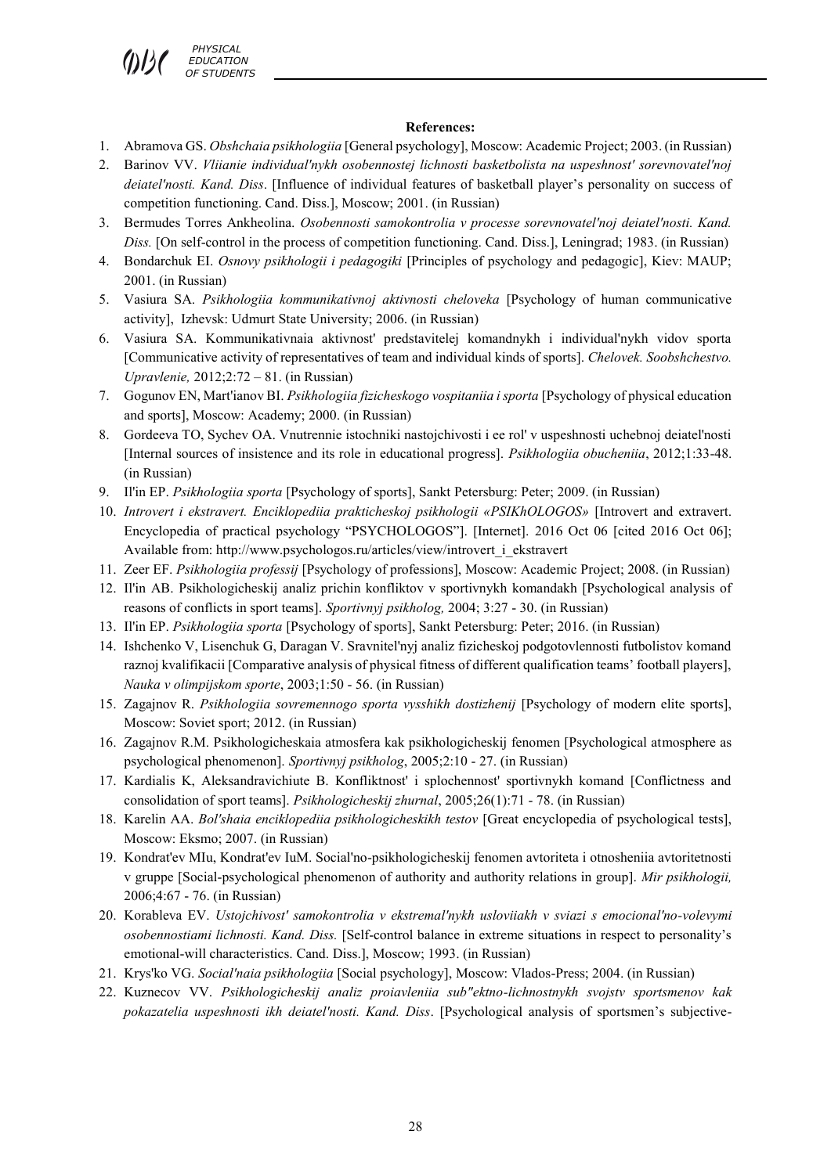*PHYSICAL EDUCATION*  **F STUDENTS** 

## **References:**

- 1. Abramova GS. *Obshchaia psikhologiia* [General psychology], Moscow: Academic Project; 2003. (in Russian)
- 2. Barinov VV. *Vliianie individual'nykh osobennostej lichnosti basketbolista na uspeshnost' sorevnovatel'noj deiatel'nosti. Kand. Diss*. [Influence of individual features of basketball player's personality on success of competition functioning. Cand. Diss.], Moscow; 2001. (in Russian)
- 3. Bermudes Torres Ankheolina. *Osobennosti samokontrolia v processe sorevnovatel'noj deiatel'nosti. Kand. Diss.* [On self-control in the process of competition functioning. Cand. Diss.], Leningrad; 1983. (in Russian)
- 4. Bondarchuk EI. *Osnovy psikhologii i pedagogiki* [Principles of psychology and pedagogic], Kiev: MAUP; 2001. (in Russian)
- 5. Vasiura SA. *Psikhologiia kommunikativnoj aktivnosti cheloveka* [Psychology of human communicative activity], Izhevsk: Udmurt State University; 2006. (in Russian)
- 6. Vasiura SA. Kommunikativnaia aktivnost' predstavitelej komandnykh i individual'nykh vidov sporta [Communicative activity of representatives of team and individual kinds of sports]. *Chelovek. Soobshchestvo. Upravlenie,* 2012;2:72 – 81. (in Russian)
- 7. Gogunov EN, Mart'ianov BI. *Psikhologiia fizicheskogo vospitaniia i sporta* [Psychology of physical education and sports], Moscow: Academy; 2000. (in Russian)
- 8. Gordeeva TO, Sychev OA. Vnutrennie istochniki nastojchivosti i ee rol' v uspeshnosti uchebnoj deiatel'nosti [Internal sources of insistence and its role in educational progress]. *Psikhologiia obucheniia*, 2012;1:33-48. (in Russian)
- 9. Il'in EP. *Psikhologiia sporta* [Psychology of sports], Sankt Petersburg: Peter; 2009. (in Russian)
- 10. *Introvert i ekstravert. Enciklopediia prakticheskoj psikhologii «PSIKhOLOGOS»* [Introvert and extravert. Encyclopedia of practical psychology "PSYCHOLOGOS"]. [Internet]. 2016 Oct 06 [cited 2016 Oct 06]; Available from: http://www.psychologos.ru/articles/view/introvert\_i\_ekstravert
- 11. Zeer EF. *Psikhologiia professij* [Psychology of professions], Moscow: Academic Project; 2008. (in Russian)
- 12. Il'in AB. Psikhologicheskij analiz prichin konfliktov v sportivnykh komandakh [Psychological analysis of reasons of conflicts in sport teams]. *Sportivnyj psikholog,* 2004; 3:27 - 30. (in Russian)
- 13. Il'in EP. *Psikhologiia sporta* [Psychology of sports], Sankt Petersburg: Peter; 2016. (in Russian)
- 14. Ishchenko V, Lisenchuk G, Daragan V. Sravnitel'nyj analiz fizicheskoj podgotovlennosti futbolistov komand raznoj kvalifikacii [Comparative analysis of physical fitness of different qualification teams' football players], *Nauka v olimpijskom sporte*, 2003;1:50 - 56. (in Russian)
- 15. Zagajnov R. *Psikhologiia sovremennogo sporta vysshikh dostizhenij* [Psychology of modern elite sports], Moscow: Soviet sport; 2012. (in Russian)
- 16. Zagajnov R.M. Psikhologicheskaia atmosfera kak psikhologicheskij fenomen [Psychological atmosphere as psychological phenomenon]. *Sportivnyj psikholog*, 2005;2:10 - 27. (in Russian)
- 17. Kardialis K, Aleksandravichiute B. Konfliktnost' i splochennost' sportivnykh komand [Conflictness and consolidation of sport teams]. *Psikhologicheskij zhurnal*, 2005;26(1):71 - 78. (in Russian)
- 18. Karelin AA. *Bol'shaia enciklopediia psikhologicheskikh testov* [Great encyclopedia of psychological tests], Moscow: Eksmo; 2007. (in Russian)
- 19. Kondrat'ev MIu, Kondrat'ev IuM. Social'no-psikhologicheskij fenomen avtoriteta i otnosheniia avtoritetnosti v gruppe [Social-psychological phenomenon of authority and authority relations in group]. *Mir psikhologii,* 2006;4:67 - 76. (in Russian)
- 20. Korableva EV. *Ustojchivost' samokontrolia v ekstremal'nykh usloviiakh v sviazi s emocional'no-volevymi osobennostiami lichnosti. Kand. Diss.* [Self-control balance in extreme situations in respect to personality's emotional-will characteristics. Cand. Diss.], Moscow; 1993. (in Russian)
- 21. Krys'ko VG. *Social'naia psikhologiia* [Social psychology], Moscow: Vlados-Press; 2004. (in Russian)
- 22. Kuznecov VV. *Psikhologicheskij analiz proiavleniia sub"ektno-lichnostnykh svojstv sportsmenov kak pokazatelia uspeshnosti ikh deiatel'nosti. Kand. Diss*. [Psychological analysis of sportsmen's subjective-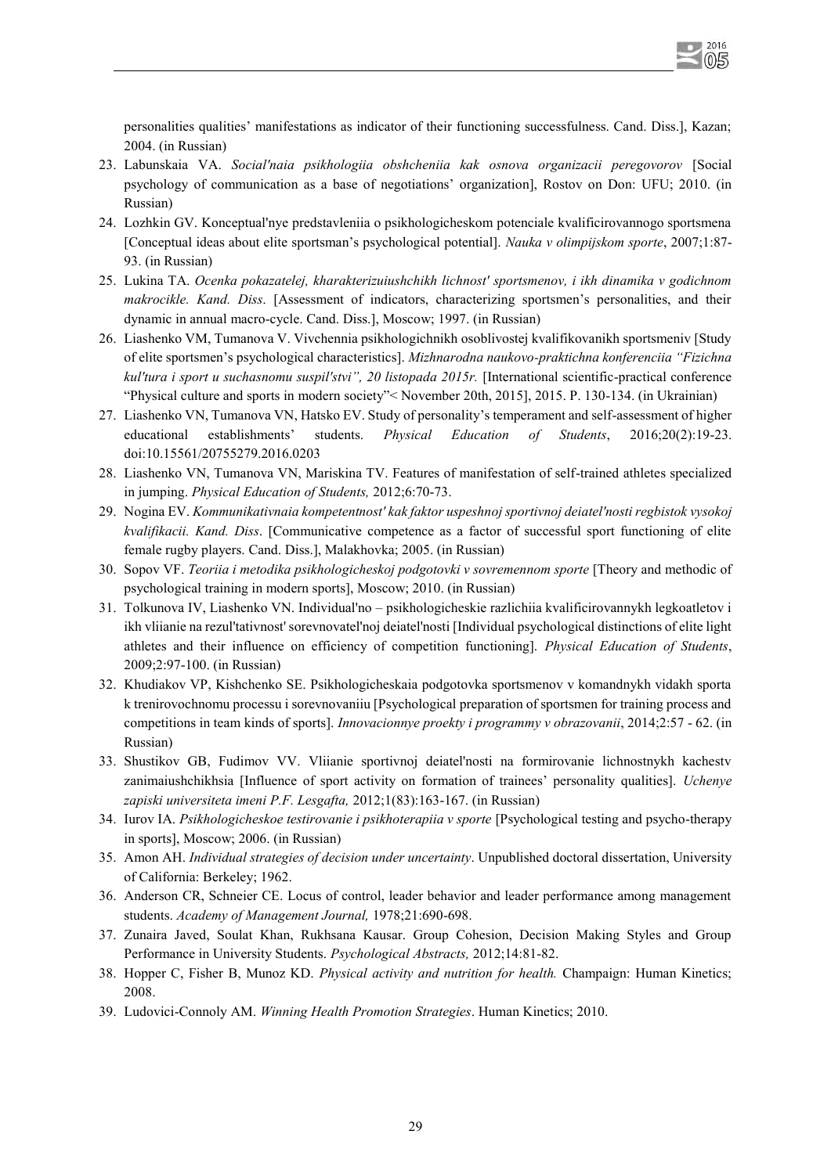personalities qualities' manifestations as indicator of their functioning successfulness. Cand. Diss.], Kazan; 2004. (in Russian)

- 23. Labunskaia VA. *Social'naia psikhologiia obshcheniia kak osnova organizacii peregovorov* [Social psychology of communication as a base of negotiations' organization], Rostov on Don: UFU; 2010. (in Russian)
- 24. Lozhkin GV. Konceptual'nye predstavleniia o psikhologicheskom potenciale kvalificirovannogo sportsmena [Conceptual ideas about elite sportsman's psychological potential]. *Nauka v olimpijskom sporte*, 2007;1:87- 93. (in Russian)
- 25. Lukina TA. *Ocenka pokazatelej, kharakterizuiushchikh lichnost' sportsmenov, i ikh dinamika v godichnom makrocikle. Kand. Diss*. [Assessment of indicators, characterizing sportsmen's personalities, and their dynamic in annual macro-cycle. Cand. Diss.], Moscow; 1997. (in Russian)
- 26. Liashenko VM, Tumanova V. Vivchennia psikhologichnikh osoblivostej kvalifikovanikh sportsmeniv [Study of elite sportsmen's psychological characteristics]. *Mizhnarodna naukovo-praktichna konferenciia "Fizichna kul'tura i sport u suchasnomu suspil'stvi", 20 listopada 2015r.* [International scientific-practical conference "Physical culture and sports in modern society"< November 20th, 2015], 2015. P. 130-134. (in Ukrainian)
- 27. Liashenko VN, Tumanova VN, Hatsko EV. Study of personality's temperament and self-assessment of higher educational establishments' students. *Physical Education of Students*, 2016;20(2):19-23. doi:10.15561/20755279.2016.0203
- 28. Liashenko VN, Tumanova VN, Mariskina TV. Features of manifestation of self-trained athletes specialized in jumping. *Physical Education of Students,* 2012;6:70-73.
- 29. Nogina EV. *Kommunikativnaia kompetentnost' kak faktor uspeshnoj sportivnoj deiatel'nosti regbistok vysokoj kvalifikacii. Kand. Diss*. [Communicative competence as a factor of successful sport functioning of elite female rugby players. Cand. Diss.], Malakhovka; 2005. (in Russian)
- 30. Sopov VF. *Teoriia i metodika psikhologicheskoj podgotovki v sovremennom sporte* [Theory and methodic of psychological training in modern sports], Moscow; 2010. (in Russian)
- 31. Tolkunova IV, Liashenko VN. Individual'no psikhologicheskie razlichiia kvalificirovannykh legkoatletov i ikh vliianie na rezul'tativnost' sorevnovatel'noj deiatel'nosti [Individual psychological distinctions of elite light athletes and their influence on efficiency of competition functioning]. *Physical Education of Students*, 2009;2:97-100. (in Russian)
- 32. Khudiakov VP, Kishchenko SE. Psikhologicheskaia podgotovka sportsmenov v komandnykh vidakh sporta k trenirovochnomu processu i sorevnovaniiu [Psychological preparation of sportsmen for training process and competitions in team kinds of sports]. *Innovacionnye proekty i programmy v obrazovanii*, 2014;2:57 - 62. (in Russian)
- 33. Shustikov GB, Fudimov VV. Vliianie sportivnoj deiatel'nosti na formirovanie lichnostnykh kachestv zanimaiushchikhsia [Influence of sport activity on formation of trainees' personality qualities]. *Uchenye zapiski universiteta imeni P.F. Lesgafta,* 2012;1(83):163-167. (in Russian)
- 34. Iurov IA. *Psikhologicheskoe testirovanie i psikhoterapiia v sporte* [Psychological testing and psycho-therapy in sports], Moscow; 2006. (in Russian)
- 35. Amon AH. *Individual strategies of decision under uncertainty*. Unpublished doctoral dissertation, University of California: Berkeley; 1962.
- 36. Anderson CR, Schneier CE. Locus of control, leader behavior and leader performance among management students. *Academy of Management Journal,* 1978;21:690-698.
- 37. Zunaira Javed, Soulat Khan, Rukhsana Kausar. Group Cohesion, Decision Making Styles and Group Performance in University Students. *Psychological Abstracts,* 2012;14:81-82.
- 38. Hopper C, Fisher B, Munoz KD. *Physical activity and nutrition for health.* Champaign: Human Kinetics; 2008.
- 39. Ludovіcі-Connoly AM. *Winning Health Promotion Strategies*. Human Kinetics; 2010.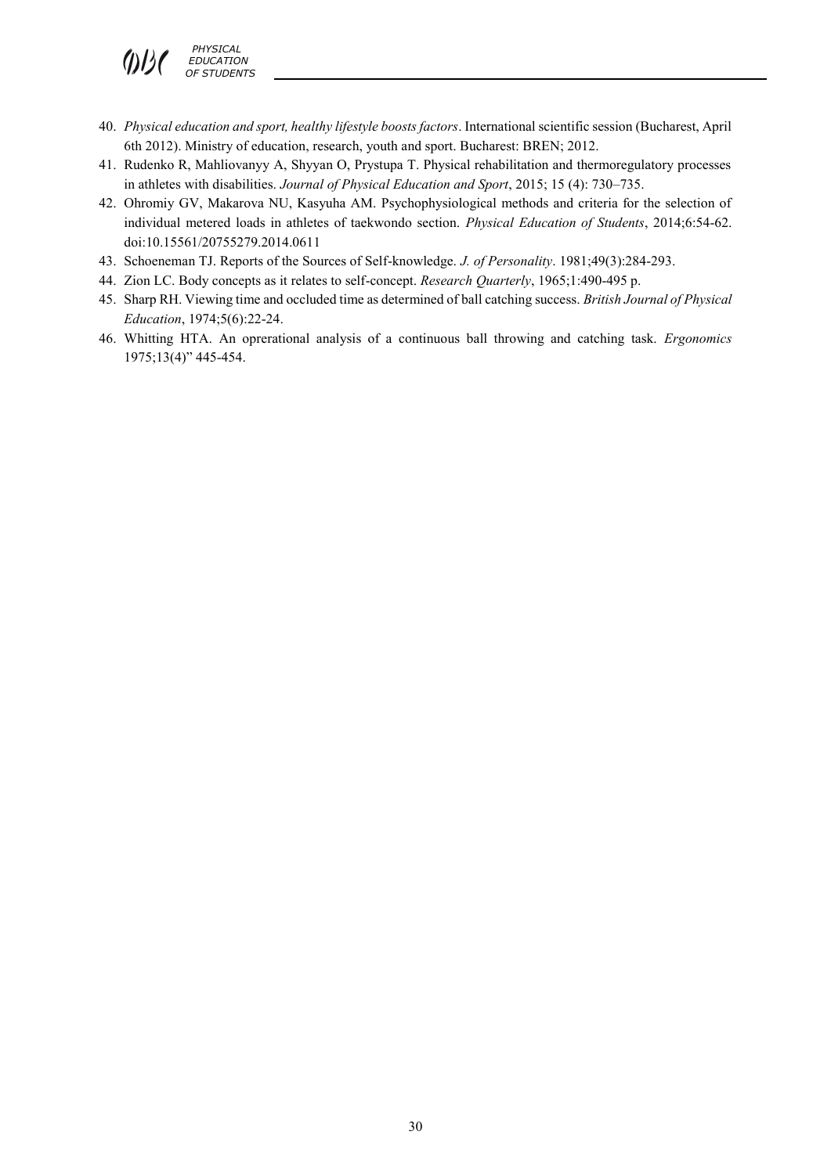- 40. *Physical education and sport, healthy lifestyle boosts factors*. International scientific session (Bucharest, April 6th 2012). Ministry of education, research, youth and sport. Bucharest: BREN; 2012.
- 41. Rudenko R, Mahliovanyy A, Shyyan O, Prystupa T. Physical rehabilitation and thermoregulatory processes in athletes with disabilities. *Journal of Physical Education and Sport*, 2015; 15 (4): 730–735.
- 42. Ohromiy GV, Makarova NU, Kasyuha AM. Psychophysiological methods and criteria for the selection of individual metered loads in athletes of taekwondo section. *Physical Education of Students*, 2014;6:54-62. doi:10.15561/20755279.2014.0611
- 43. Schoeneman TJ. Reports of the Sources of Self-knowledge. *J. of Personality*. 1981;49(3):284-293.
- 44. Zion LC. Body concepts as it relates to self-concept. *Research Quarterly*, 1965;1:490-495 p.
- 45. Sharp RH. Viewing time and occluded time as determined of ball catching success. *British Journal of Physical Education*, 1974;5(6):22-24.
- 46. Whitting HTA. An oprerational analysis of a continuous ball throwing and catching task. *Ergonomics* 1975;13(4)" 445-454.